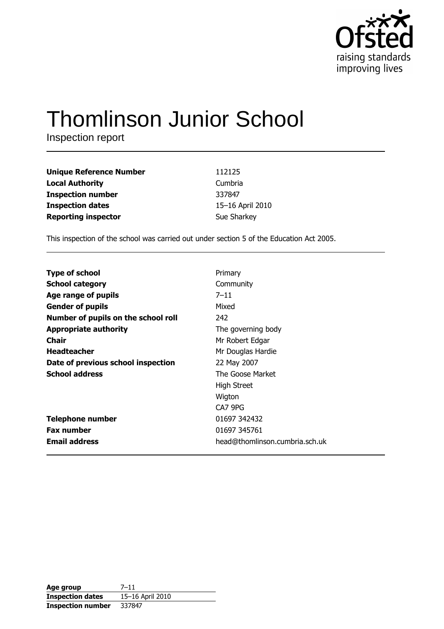

# **Thomlinson Junior School**

Inspection report

| <b>Unique Reference Number</b> | 112125           |
|--------------------------------|------------------|
| <b>Local Authority</b>         | Cumbria          |
| <b>Inspection number</b>       | 337847           |
| <b>Inspection dates</b>        | 15-16 April 2010 |
| <b>Reporting inspector</b>     | Sue Sharkey      |

This inspection of the school was carried out under section 5 of the Education Act 2005.

| Primary                        |
|--------------------------------|
| Community                      |
| $7 - 11$                       |
| Mixed                          |
| 242                            |
| The governing body             |
| Mr Robert Edgar                |
| Mr Douglas Hardie              |
| 22 May 2007                    |
| The Goose Market               |
| <b>High Street</b>             |
| Wigton                         |
| CA7 9PG                        |
| 01697 342432                   |
| 01697 345761                   |
| head@thomlinson.cumbria.sch.uk |
|                                |

| Age group                | $7 - 11$         |
|--------------------------|------------------|
| <b>Inspection dates</b>  | 15-16 April 2010 |
| <b>Inspection number</b> | 337847           |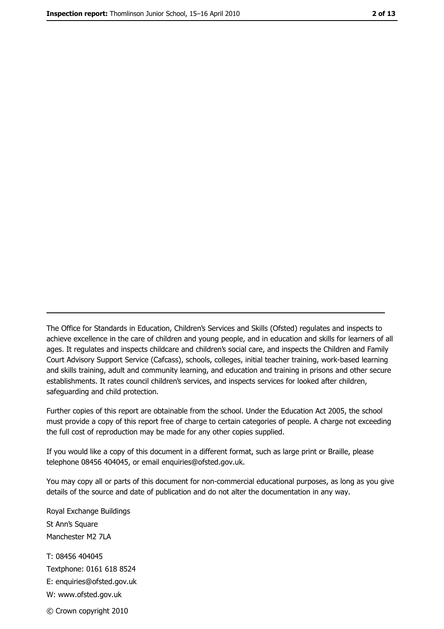The Office for Standards in Education, Children's Services and Skills (Ofsted) regulates and inspects to achieve excellence in the care of children and young people, and in education and skills for learners of all ages. It regulates and inspects childcare and children's social care, and inspects the Children and Family Court Advisory Support Service (Cafcass), schools, colleges, initial teacher training, work-based learning and skills training, adult and community learning, and education and training in prisons and other secure establishments. It rates council children's services, and inspects services for looked after children, safequarding and child protection.

Further copies of this report are obtainable from the school. Under the Education Act 2005, the school must provide a copy of this report free of charge to certain categories of people. A charge not exceeding the full cost of reproduction may be made for any other copies supplied.

If you would like a copy of this document in a different format, such as large print or Braille, please telephone 08456 404045, or email enquiries@ofsted.gov.uk.

You may copy all or parts of this document for non-commercial educational purposes, as long as you give details of the source and date of publication and do not alter the documentation in any way.

Royal Exchange Buildings St Ann's Square Manchester M2 7LA T: 08456 404045 Textphone: 0161 618 8524 E: enquiries@ofsted.gov.uk W: www.ofsted.gov.uk © Crown copyright 2010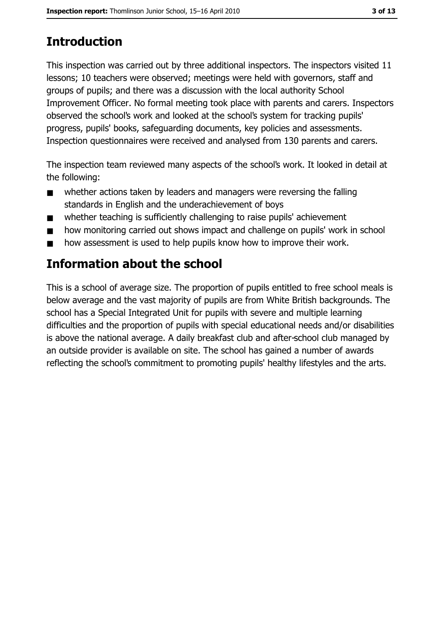# **Introduction**

This inspection was carried out by three additional inspectors. The inspectors visited 11 lessons; 10 teachers were observed; meetings were held with governors, staff and groups of pupils; and there was a discussion with the local authority School Improvement Officer. No formal meeting took place with parents and carers. Inspectors observed the school's work and looked at the school's system for tracking pupils' progress, pupils' books, safeguarding documents, key policies and assessments. Inspection questionnaires were received and analysed from 130 parents and carers.

The inspection team reviewed many aspects of the school's work. It looked in detail at the following:

- whether actions taken by leaders and managers were reversing the falling  $\blacksquare$ standards in English and the underachievement of boys
- whether teaching is sufficiently challenging to raise pupils' achievement  $\blacksquare$
- how monitoring carried out shows impact and challenge on pupils' work in school  $\blacksquare$
- how assessment is used to help pupils know how to improve their work.  $\blacksquare$

# **Information about the school**

This is a school of average size. The proportion of pupils entitled to free school meals is below average and the vast majority of pupils are from White British backgrounds. The school has a Special Integrated Unit for pupils with severe and multiple learning difficulties and the proportion of pupils with special educational needs and/or disabilities is above the national average. A daily breakfast club and after-school club managed by an outside provider is available on site. The school has gained a number of awards reflecting the school's commitment to promoting pupils' healthy lifestyles and the arts.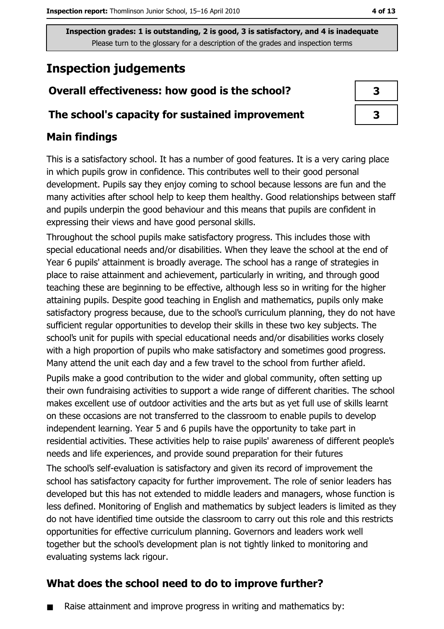# **Inspection judgements**

## Overall effectiveness: how good is the school?

#### The school's capacity for sustained improvement

## **Main findings**

This is a satisfactory school. It has a number of good features. It is a very caring place in which pupils grow in confidence. This contributes well to their good personal development. Pupils say they enjoy coming to school because lessons are fun and the many activities after school help to keep them healthy. Good relationships between staff and pupils underpin the good behaviour and this means that pupils are confident in expressing their views and have good personal skills.

Throughout the school pupils make satisfactory progress. This includes those with special educational needs and/or disabilities. When they leave the school at the end of Year 6 pupils' attainment is broadly average. The school has a range of strategies in place to raise attainment and achievement, particularly in writing, and through good teaching these are beginning to be effective, although less so in writing for the higher attaining pupils. Despite good teaching in English and mathematics, pupils only make satisfactory progress because, due to the school's curriculum planning, they do not have sufficient regular opportunities to develop their skills in these two key subjects. The school's unit for pupils with special educational needs and/or disabilities works closely with a high proportion of pupils who make satisfactory and sometimes good progress. Many attend the unit each day and a few travel to the school from further afield.

Pupils make a good contribution to the wider and global community, often setting up their own fundraising activities to support a wide range of different charities. The school makes excellent use of outdoor activities and the arts but as yet full use of skills learnt on these occasions are not transferred to the classroom to enable pupils to develop independent learning. Year 5 and 6 pupils have the opportunity to take part in residential activities. These activities help to raise pupils' awareness of different people's needs and life experiences, and provide sound preparation for their futures

The school's self-evaluation is satisfactory and given its record of improvement the school has satisfactory capacity for further improvement. The role of senior leaders has developed but this has not extended to middle leaders and managers, whose function is less defined. Monitoring of English and mathematics by subject leaders is limited as they do not have identified time outside the classroom to carry out this role and this restricts opportunities for effective curriculum planning. Governors and leaders work well together but the school's development plan is not tightly linked to monitoring and evaluating systems lack rigour.

## What does the school need to do to improve further?

Raise attainment and improve progress in writing and mathematics by:

4 of 13

| 3 |  |
|---|--|
| 3 |  |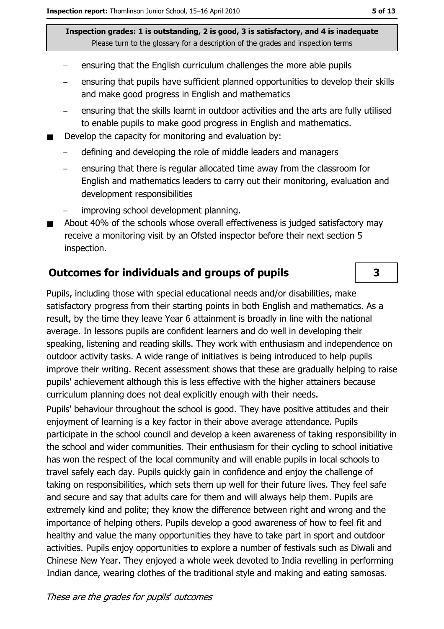- ensuring that the English curriculum challenges the more able pupils
- ensuring that pupils have sufficient planned opportunities to develop their skills and make good progress in English and mathematics
- ensuring that the skills learnt in outdoor activities and the arts are fully utilised to enable pupils to make good progress in English and mathematics.
- Develop the capacity for monitoring and evaluation by:
	- defining and developing the role of middle leaders and managers
	- ensuring that there is regular allocated time away from the classroom for  $\equiv$ English and mathematics leaders to carry out their monitoring, evaluation and development responsibilities
	- improving school development planning.
- About 40% of the schools whose overall effectiveness is judged satisfactory may  $\blacksquare$ receive a monitoring visit by an Ofsted inspector before their next section 5 inspection.

#### **Outcomes for individuals and groups of pupils**

Pupils, including those with special educational needs and/or disabilities, make satisfactory progress from their starting points in both English and mathematics. As a result, by the time they leave Year 6 attainment is broadly in line with the national average. In lessons pupils are confident learners and do well in developing their speaking, listening and reading skills. They work with enthusiasm and independence on outdoor activity tasks. A wide range of initiatives is being introduced to help pupils improve their writing. Recent assessment shows that these are gradually helping to raise pupils' achievement although this is less effective with the higher attainers because curriculum planning does not deal explicitly enough with their needs.

Pupils' behaviour throughout the school is good. They have positive attitudes and their enjoyment of learning is a key factor in their above average attendance. Pupils participate in the school council and develop a keen awareness of taking responsibility in the school and wider communities. Their enthusiasm for their cycling to school initiative has won the respect of the local community and will enable pupils in local schools to travel safely each day. Pupils quickly gain in confidence and enjoy the challenge of taking on responsibilities, which sets them up well for their future lives. They feel safe and secure and say that adults care for them and will always help them. Pupils are extremely kind and polite; they know the difference between right and wrong and the importance of helping others. Pupils develop a good awareness of how to feel fit and healthy and value the many opportunities they have to take part in sport and outdoor activities. Pupils enjoy opportunities to explore a number of festivals such as Diwali and Chinese New Year. They enjoved a whole week devoted to India revelling in performing Indian dance, wearing clothes of the traditional style and making and eating samosas.

3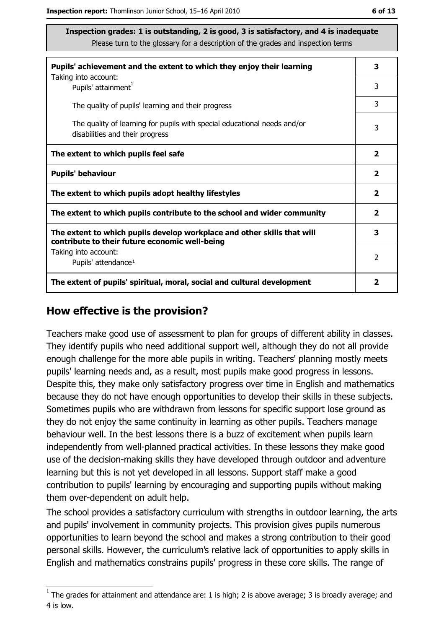| Pupils' achievement and the extent to which they enjoy their learning                                                     |                         |  |
|---------------------------------------------------------------------------------------------------------------------------|-------------------------|--|
| Taking into account:<br>Pupils' attainment <sup>1</sup>                                                                   | 3                       |  |
| The quality of pupils' learning and their progress                                                                        | 3                       |  |
| The quality of learning for pupils with special educational needs and/or<br>disabilities and their progress               | 3                       |  |
| The extent to which pupils feel safe                                                                                      | $\overline{\mathbf{2}}$ |  |
| <b>Pupils' behaviour</b>                                                                                                  | $\mathbf{2}$            |  |
| The extent to which pupils adopt healthy lifestyles                                                                       | $\mathbf{2}$            |  |
| The extent to which pupils contribute to the school and wider community                                                   | $\overline{2}$          |  |
| The extent to which pupils develop workplace and other skills that will<br>contribute to their future economic well-being |                         |  |
| Taking into account:<br>Pupils' attendance <sup>1</sup>                                                                   | $\mathcal{P}$           |  |
| The extent of pupils' spiritual, moral, social and cultural development                                                   | 2                       |  |

#### How effective is the provision?

Teachers make good use of assessment to plan for groups of different ability in classes. They identify pupils who need additional support well, although they do not all provide enough challenge for the more able pupils in writing. Teachers' planning mostly meets pupils' learning needs and, as a result, most pupils make good progress in lessons. Despite this, they make only satisfactory progress over time in English and mathematics because they do not have enough opportunities to develop their skills in these subjects. Sometimes pupils who are withdrawn from lessons for specific support lose ground as they do not enjoy the same continuity in learning as other pupils. Teachers manage behaviour well. In the best lessons there is a buzz of excitement when pupils learn independently from well-planned practical activities. In these lessons they make good use of the decision-making skills they have developed through outdoor and adventure learning but this is not yet developed in all lessons. Support staff make a good contribution to pupils' learning by encouraging and supporting pupils without making them over-dependent on adult help.

The school provides a satisfactory curriculum with strengths in outdoor learning, the arts and pupils' involvement in community projects. This provision gives pupils numerous opportunities to learn beyond the school and makes a strong contribution to their good personal skills. However, the curriculum's relative lack of opportunities to apply skills in English and mathematics constrains pupils' progress in these core skills. The range of

 $1$  The grades for attainment and attendance are: 1 is high; 2 is above average; 3 is broadly average; and 4 is low.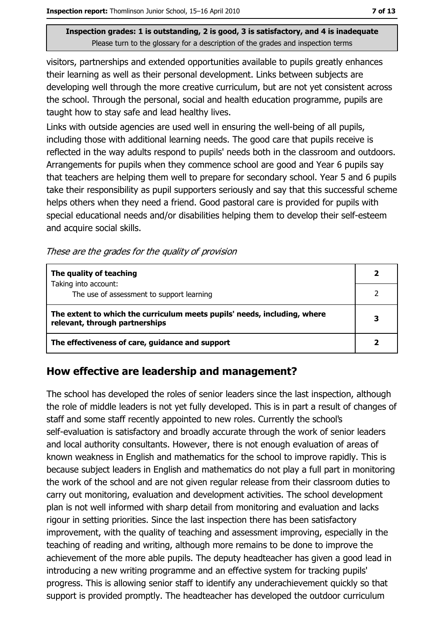visitors, partnerships and extended opportunities available to pupils greatly enhances their learning as well as their personal development. Links between subjects are developing well through the more creative curriculum, but are not yet consistent across the school. Through the personal, social and health education programme, pupils are taught how to stay safe and lead healthy lives.

Links with outside agencies are used well in ensuring the well-being of all pupils, including those with additional learning needs. The good care that pupils receive is reflected in the way adults respond to pupils' needs both in the classroom and outdoors. Arrangements for pupils when they commence school are good and Year 6 pupils say that teachers are helping them well to prepare for secondary school. Year 5 and 6 pupils take their responsibility as pupil supporters seriously and say that this successful scheme helps others when they need a friend. Good pastoral care is provided for pupils with special educational needs and/or disabilities helping them to develop their self-esteem and acquire social skills.

These are the grades for the quality of provision

| The quality of teaching                                                                                    |  |
|------------------------------------------------------------------------------------------------------------|--|
| Taking into account:<br>The use of assessment to support learning                                          |  |
| The extent to which the curriculum meets pupils' needs, including, where<br>relevant, through partnerships |  |
| The effectiveness of care, guidance and support                                                            |  |

#### How effective are leadership and management?

The school has developed the roles of senior leaders since the last inspection, although the role of middle leaders is not yet fully developed. This is in part a result of changes of staff and some staff recently appointed to new roles. Currently the school's self-evaluation is satisfactory and broadly accurate through the work of senior leaders and local authority consultants. However, there is not enough evaluation of areas of known weakness in English and mathematics for the school to improve rapidly. This is because subject leaders in English and mathematics do not play a full part in monitoring the work of the school and are not given regular release from their classroom duties to carry out monitoring, evaluation and development activities. The school development plan is not well informed with sharp detail from monitoring and evaluation and lacks rigour in setting priorities. Since the last inspection there has been satisfactory improvement, with the quality of teaching and assessment improving, especially in the teaching of reading and writing, although more remains to be done to improve the achievement of the more able pupils. The deputy headteacher has given a good lead in introducing a new writing programme and an effective system for tracking pupils' progress. This is allowing senior staff to identify any underachievement quickly so that support is provided promptly. The headteacher has developed the outdoor curriculum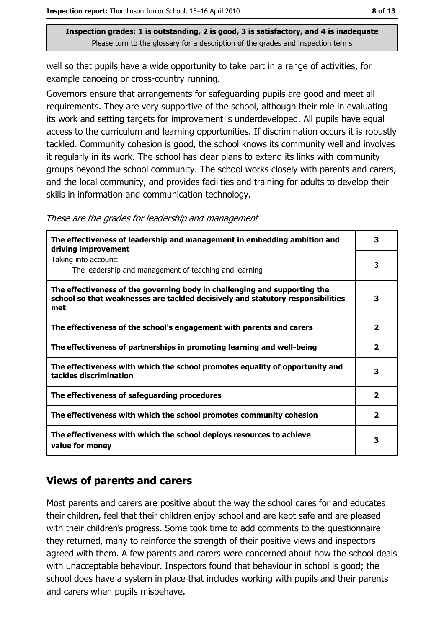well so that pupils have a wide opportunity to take part in a range of activities, for example canoeing or cross-country running.

Governors ensure that arrangements for safeguarding pupils are good and meet all requirements. They are very supportive of the school, although their role in evaluating its work and setting targets for improvement is underdeveloped. All pupils have equal access to the curriculum and learning opportunities. If discrimination occurs it is robustly tackled. Community cohesion is good, the school knows its community well and involves it regularly in its work. The school has clear plans to extend its links with community groups beyond the school community. The school works closely with parents and carers, and the local community, and provides facilities and training for adults to develop their skills in information and communication technology.

|  |  |  | These are the grades for leadership and management |  |
|--|--|--|----------------------------------------------------|--|
|  |  |  |                                                    |  |
|  |  |  |                                                    |  |
|  |  |  |                                                    |  |

| The effectiveness of leadership and management in embedding ambition and<br>driving improvement                                                                     | 3            |
|---------------------------------------------------------------------------------------------------------------------------------------------------------------------|--------------|
| Taking into account:<br>The leadership and management of teaching and learning                                                                                      | 3            |
| The effectiveness of the governing body in challenging and supporting the<br>school so that weaknesses are tackled decisively and statutory responsibilities<br>met | 3            |
| The effectiveness of the school's engagement with parents and carers                                                                                                | 2            |
| The effectiveness of partnerships in promoting learning and well-being                                                                                              | $\mathbf{2}$ |
| The effectiveness with which the school promotes equality of opportunity and<br>tackles discrimination                                                              | 3            |
| The effectiveness of safeguarding procedures                                                                                                                        | $\mathbf{z}$ |
| The effectiveness with which the school promotes community cohesion                                                                                                 | 2            |
| The effectiveness with which the school deploys resources to achieve<br>value for money                                                                             | 3            |

#### **Views of parents and carers**

Most parents and carers are positive about the way the school cares for and educates their children, feel that their children enjoy school and are kept safe and are pleased with their children's progress. Some took time to add comments to the questionnaire they returned, many to reinforce the strength of their positive views and inspectors agreed with them. A few parents and carers were concerned about how the school deals with unacceptable behaviour. Inspectors found that behaviour in school is good; the school does have a system in place that includes working with pupils and their parents and carers when pupils misbehave.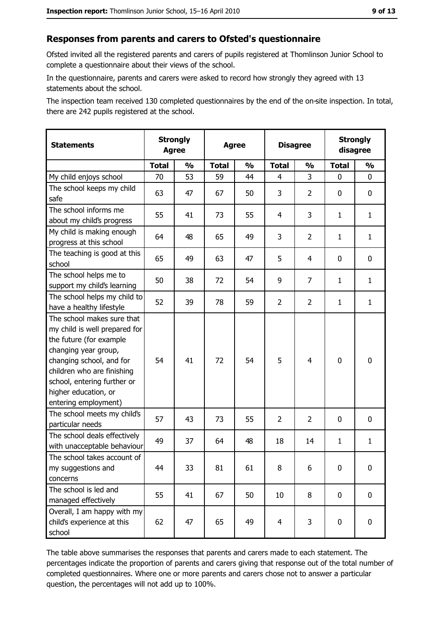#### Responses from parents and carers to Ofsted's questionnaire

Ofsted invited all the registered parents and carers of pupils registered at Thomlinson Junior School to complete a questionnaire about their views of the school.

In the questionnaire, parents and carers were asked to record how strongly they agreed with 13 statements about the school.

The inspection team received 130 completed questionnaires by the end of the on-site inspection. In total, there are 242 pupils registered at the school.

| <b>Statements</b>                                                                                                                                                                                                                                       | <b>Strongly</b><br><b>Agree</b> |               | <b>Agree</b> |               | <b>Disagree</b> |                | <b>Strongly</b><br>disagree |               |
|---------------------------------------------------------------------------------------------------------------------------------------------------------------------------------------------------------------------------------------------------------|---------------------------------|---------------|--------------|---------------|-----------------|----------------|-----------------------------|---------------|
|                                                                                                                                                                                                                                                         | <b>Total</b>                    | $\frac{1}{2}$ | <b>Total</b> | $\frac{0}{0}$ | <b>Total</b>    | $\frac{1}{2}$  | <b>Total</b>                | $\frac{1}{2}$ |
| My child enjoys school                                                                                                                                                                                                                                  | 70                              | 53            | 59           | 44            | 4               | 3              | 0                           | 0             |
| The school keeps my child<br>safe                                                                                                                                                                                                                       | 63                              | 47            | 67           | 50            | 3               | $\overline{2}$ | 0                           | 0             |
| The school informs me<br>about my child's progress                                                                                                                                                                                                      | 55                              | 41            | 73           | 55            | 4               | 3              | 1                           | $\mathbf{1}$  |
| My child is making enough<br>progress at this school                                                                                                                                                                                                    | 64                              | 48            | 65           | 49            | 3               | $\overline{2}$ | 1                           | $\mathbf{1}$  |
| The teaching is good at this<br>school                                                                                                                                                                                                                  | 65                              | 49            | 63           | 47            | 5               | 4              | 0                           | 0             |
| The school helps me to<br>support my child's learning                                                                                                                                                                                                   | 50                              | 38            | 72           | 54            | 9               | $\overline{7}$ | 1                           | $\mathbf{1}$  |
| The school helps my child to<br>have a healthy lifestyle                                                                                                                                                                                                | 52                              | 39            | 78           | 59            | $\overline{2}$  | $\overline{2}$ | 1                           | $\mathbf{1}$  |
| The school makes sure that<br>my child is well prepared for<br>the future (for example<br>changing year group,<br>changing school, and for<br>children who are finishing<br>school, entering further or<br>higher education, or<br>entering employment) | 54                              | 41            | 72           | 54            | 5               | 4              | $\mathbf 0$                 | $\bf{0}$      |
| The school meets my child's<br>particular needs                                                                                                                                                                                                         | 57                              | 43            | 73           | 55            | $\overline{2}$  | $\overline{2}$ | 0                           | 0             |
| The school deals effectively<br>with unacceptable behaviour                                                                                                                                                                                             | 49                              | 37            | 64           | 48            | 18              | 14             | $\mathbf{1}$                | $\mathbf{1}$  |
| The school takes account of<br>my suggestions and<br>concerns                                                                                                                                                                                           | 44                              | 33            | 81           | 61            | 8               | 6              | 0                           | $\bf{0}$      |
| The school is led and<br>managed effectively                                                                                                                                                                                                            | 55                              | 41            | 67           | 50            | 10              | 8              | $\mathbf 0$                 | 0             |
| Overall, I am happy with my<br>child's experience at this<br>school                                                                                                                                                                                     | 62                              | 47            | 65           | 49            | $\overline{4}$  | 3              | 0                           | 0             |

The table above summarises the responses that parents and carers made to each statement. The percentages indicate the proportion of parents and carers giving that response out of the total number of completed questionnaires. Where one or more parents and carers chose not to answer a particular question, the percentages will not add up to 100%.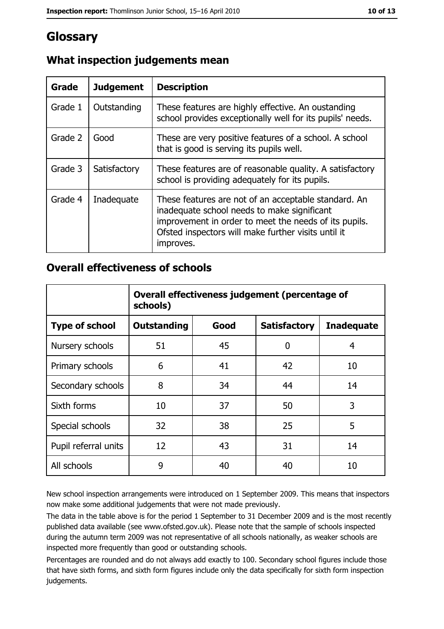## Glossary

| Grade   | <b>Judgement</b> | <b>Description</b>                                                                                                                                                                                                               |
|---------|------------------|----------------------------------------------------------------------------------------------------------------------------------------------------------------------------------------------------------------------------------|
| Grade 1 | Outstanding      | These features are highly effective. An oustanding<br>school provides exceptionally well for its pupils' needs.                                                                                                                  |
| Grade 2 | Good             | These are very positive features of a school. A school<br>that is good is serving its pupils well.                                                                                                                               |
| Grade 3 | Satisfactory     | These features are of reasonable quality. A satisfactory<br>school is providing adequately for its pupils.                                                                                                                       |
| Grade 4 | Inadequate       | These features are not of an acceptable standard. An<br>inadequate school needs to make significant<br>improvement in order to meet the needs of its pupils.<br>Ofsted inspectors will make further visits until it<br>improves. |

## What inspection judgements mean

#### **Overall effectiveness of schools**

|                       | Overall effectiveness judgement (percentage of<br>schools) |      |                     |                   |
|-----------------------|------------------------------------------------------------|------|---------------------|-------------------|
| <b>Type of school</b> | <b>Outstanding</b>                                         | Good | <b>Satisfactory</b> | <b>Inadequate</b> |
| Nursery schools       | 51                                                         | 45   | 0                   | 4                 |
| Primary schools       | 6                                                          | 41   | 42                  | 10                |
| Secondary schools     | 8                                                          | 34   | 44                  | 14                |
| Sixth forms           | 10                                                         | 37   | 50                  | 3                 |
| Special schools       | 32                                                         | 38   | 25                  | 5                 |
| Pupil referral units  | 12                                                         | 43   | 31                  | 14                |
| All schools           | 9                                                          | 40   | 40                  | 10                |

New school inspection arrangements were introduced on 1 September 2009. This means that inspectors now make some additional judgements that were not made previously.

The data in the table above is for the period 1 September to 31 December 2009 and is the most recently published data available (see www.ofsted.gov.uk). Please note that the sample of schools inspected during the autumn term 2009 was not representative of all schools nationally, as weaker schools are inspected more frequently than good or outstanding schools.

Percentages are rounded and do not always add exactly to 100. Secondary school figures include those that have sixth forms, and sixth form figures include only the data specifically for sixth form inspection judgements.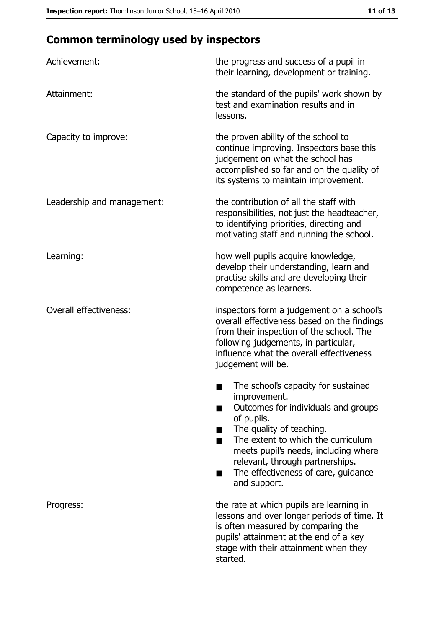# **Common terminology used by inspectors**

| Achievement:                  | the progress and success of a pupil in<br>their learning, development or training.                                                                                                                                                                                                                           |
|-------------------------------|--------------------------------------------------------------------------------------------------------------------------------------------------------------------------------------------------------------------------------------------------------------------------------------------------------------|
| Attainment:                   | the standard of the pupils' work shown by<br>test and examination results and in<br>lessons.                                                                                                                                                                                                                 |
| Capacity to improve:          | the proven ability of the school to<br>continue improving. Inspectors base this<br>judgement on what the school has<br>accomplished so far and on the quality of<br>its systems to maintain improvement.                                                                                                     |
| Leadership and management:    | the contribution of all the staff with<br>responsibilities, not just the headteacher,<br>to identifying priorities, directing and<br>motivating staff and running the school.                                                                                                                                |
| Learning:                     | how well pupils acquire knowledge,<br>develop their understanding, learn and<br>practise skills and are developing their<br>competence as learners.                                                                                                                                                          |
| <b>Overall effectiveness:</b> | inspectors form a judgement on a school's<br>overall effectiveness based on the findings<br>from their inspection of the school. The<br>following judgements, in particular,<br>influence what the overall effectiveness<br>judgement will be.                                                               |
|                               | The school's capacity for sustained<br>improvement.<br>Outcomes for individuals and groups<br>of pupils.<br>The quality of teaching.<br>The extent to which the curriculum<br>meets pupil's needs, including where<br>relevant, through partnerships.<br>The effectiveness of care, guidance<br>and support. |
| Progress:                     | the rate at which pupils are learning in<br>lessons and over longer periods of time. It<br>is often measured by comparing the<br>pupils' attainment at the end of a key<br>stage with their attainment when they<br>started.                                                                                 |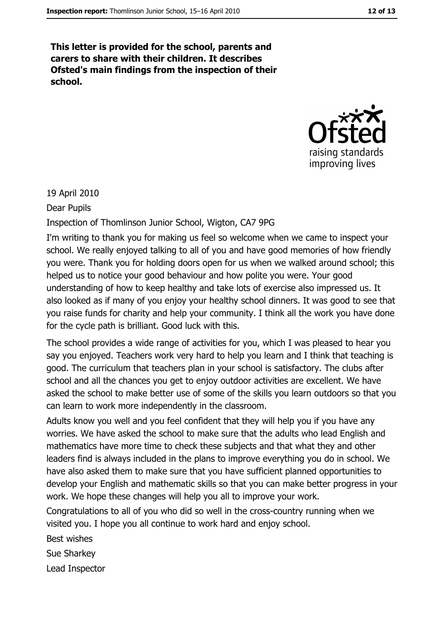This letter is provided for the school, parents and carers to share with their children. It describes Ofsted's main findings from the inspection of their school.



19 April 2010

Dear Pupils

Inspection of Thomlinson Junior School, Wigton, CA7 9PG

I'm writing to thank you for making us feel so welcome when we came to inspect your school. We really enjoyed talking to all of you and have good memories of how friendly you were. Thank you for holding doors open for us when we walked around school; this helped us to notice your good behaviour and how polite you were. Your good understanding of how to keep healthy and take lots of exercise also impressed us. It also looked as if many of you enjoy your healthy school dinners. It was good to see that you raise funds for charity and help your community. I think all the work you have done for the cycle path is brilliant. Good luck with this.

The school provides a wide range of activities for you, which I was pleased to hear you say you enjoved. Teachers work very hard to help you learn and I think that teaching is good. The curriculum that teachers plan in your school is satisfactory. The clubs after school and all the chances you get to enjoy outdoor activities are excellent. We have asked the school to make better use of some of the skills you learn outdoors so that you can learn to work more independently in the classroom.

Adults know you well and you feel confident that they will help you if you have any worries. We have asked the school to make sure that the adults who lead English and mathematics have more time to check these subjects and that what they and other leaders find is always included in the plans to improve everything you do in school. We have also asked them to make sure that you have sufficient planned opportunities to develop your English and mathematic skills so that you can make better progress in your work. We hope these changes will help you all to improve your work.

Congratulations to all of you who did so well in the cross-country running when we visited you. I hope you all continue to work hard and enjoy school.

**Best wishes** 

Sue Sharkey

Lead Inspector